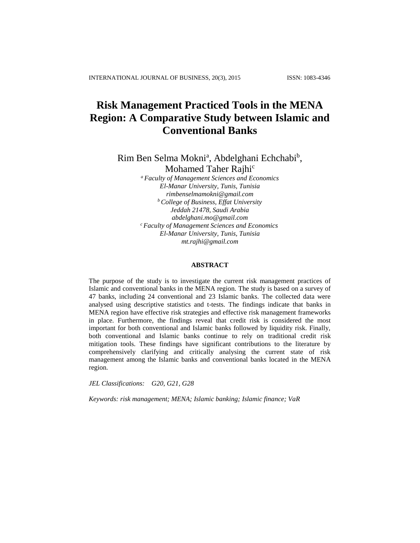# **Risk Management Practiced Tools in the MENA Region: A Comparative Study between Islamic and Conventional Banks**

Rim Ben Selma Mokni<sup>a</sup>, Abdelghani Echchabi<sup>b</sup>, Mohamed Taher Rajhi<sup>c</sup>

*<sup>a</sup> Faculty of Management Sciences and Economics El-Manar University, Tunis, Tunisia [rimbenselmamokni@gmail.com](mailto:rimbenselmamokni@gmail.com) <sup>b</sup> College of Business, Effat University Jeddah 21478, Saudi Arabia [abdelghani.mo@gmail.com](mailto:abdelghani.mo@gmail.com) <sup>c</sup> Faculty of Management Sciences and Economics El-Manar University, Tunis, Tunisia mt.rajhi@gmail.com*

# **ABSTRACT**

The purpose of the study is to investigate the current risk management practices of Islamic and conventional banks in the MENA region. The study is based on a survey of 47 banks, including 24 conventional and 23 Islamic banks. The collected data were analysed using descriptive statistics and t-tests. The findings indicate that banks in MENA region have effective risk strategies and effective risk management frameworks in place. Furthermore, the findings reveal that credit risk is considered the most important for both conventional and Islamic banks followed by liquidity risk. Finally, both conventional and Islamic banks continue to rely on traditional credit risk mitigation tools. These findings have significant contributions to the literature by comprehensively clarifying and critically analysing the current state of risk management among the Islamic banks and conventional banks located in the MENA region.

*JEL Classifications: G20, G21, G28*

*Keywords: risk management; MENA; Islamic banking; Islamic finance; VaR*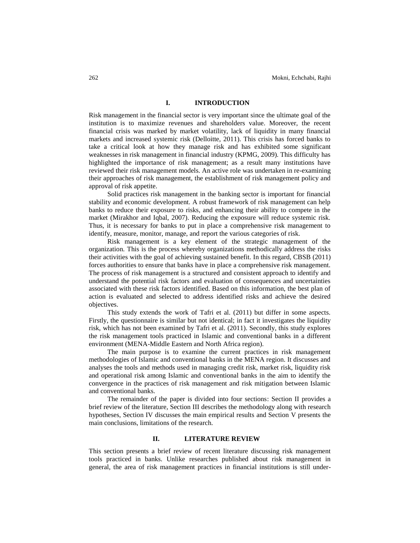## **I. INTRODUCTION**

Risk management in the financial sector is very important since the ultimate goal of the institution is to maximize revenues and shareholders value. Moreover, the recent financial crisis was marked by market volatility, lack of liquidity in many financial markets and increased systemic risk (Delloitte, 2011). This crisis has forced banks to take a critical look at how they manage risk and has exhibited some significant weaknesses in risk management in financial industry (KPMG, 2009). This difficulty has highlighted the importance of risk management; as a result many institutions have reviewed their risk management models. An active role was undertaken in re-examining their approaches of risk management, the establishment of risk management policy and approval of risk appetite.

Solid practices risk management in the banking sector is important for financial stability and economic development. A robust framework of risk management can help banks to reduce their exposure to risks, and enhancing their ability to compete in the market (Mirakhor and Iqbal, 2007). Reducing the exposure will reduce systemic risk. Thus, it is necessary for banks to put in place a comprehensive risk management to identify, measure, monitor, manage, and report the various categories of risk.

Risk management is a key element of the strategic management of the organization. This is the process whereby organizations methodically address the risks their activities with the goal of achieving sustained benefit. In this regard, CBSB (2011) forces authorities to ensure that banks have in place a comprehensive risk management. The process of risk management is a structured and consistent approach to identify and understand the potential risk factors and evaluation of consequences and uncertainties associated with these risk factors identified. Based on this information, the best plan of action is evaluated and selected to address identified risks and achieve the desired objectives.

This study extends the work of Tafri et al. (2011) but differ in some aspects. Firstly, the questionnaire is similar but not identical; in fact it investigates the liquidity risk, which has not been examined by Tafri et al. (2011). Secondly, this study explores the risk management tools practiced in Islamic and conventional banks in a different environment (MENA-Middle Eastern and North Africa region).

The main purpose is to examine the current practices in risk management methodologies of Islamic and conventional banks in the MENA region. It discusses and analyses the tools and methods used in managing credit risk, market risk, liquidity risk and operational risk among Islamic and conventional banks in the aim to identify the convergence in the practices of risk management and risk mitigation between Islamic and conventional banks.

The remainder of the paper is divided into four sections: Section II provides a brief review of the literature, Section III describes the methodology along with research hypotheses, Section IV discusses the main empirical results and Section V presents the main conclusions, limitations of the research.

#### **II. LITERATURE REVIEW**

This section presents a brief review of recent literature discussing risk management tools practiced in banks. Unlike researches published about risk management in general, the area of risk management practices in financial institutions is still under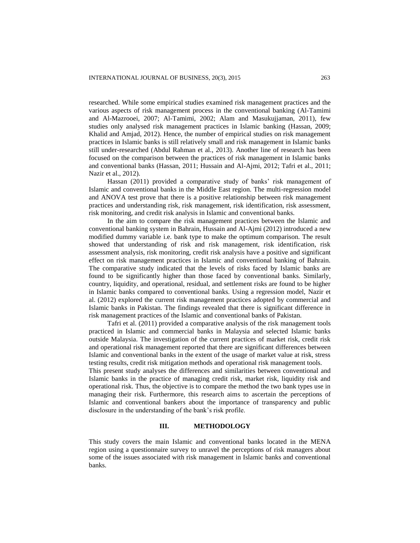researched. While some empirical studies examined risk management practices and the various aspects of risk management process in the conventional banking (Al-Tamimi and Al-Mazrooei, 2007; Al-Tamimi, 2002; Alam and Masukujjaman, 2011), few studies only analysed risk management practices in Islamic banking (Hassan, 2009; Khalid and Amjad, 2012). Hence, the number of empirical studies on risk management practices in Islamic banks is still relatively small and risk management in Islamic banks still under-researched (Abdul Rahman et al., 2013). Another line of research has been focused on the comparison between the practices of risk management in Islamic banks and conventional banks (Hassan, 2011; Hussain and Al-Ajmi, 2012; Tafri et al., 2011; Nazir et al., 2012).

Hassan (2011) provided a comparative study of banks' risk management of Islamic and conventional banks in the Middle East region. The multi-regression model and ANOVA test prove that there is a positive relationship between risk management practices and understanding risk, risk management, risk identification, risk assessment, risk monitoring, and credit risk analysis in Islamic and conventional banks.

In the aim to compare the risk management practices between the Islamic and conventional banking system in Bahrain, Hussain and Al-Ajmi (2012) introduced a new modified dummy variable i.e. bank type to make the optimum comparison. The result showed that understanding of risk and risk management, risk identification, risk assessment analysis, risk monitoring, credit risk analysis have a positive and significant effect on risk management practices in Islamic and conventional banking of Bahrain. The comparative study indicated that the levels of risks faced by Islamic banks are found to be significantly higher than those faced by conventional banks. Similarly, country, liquidity, and operational, residual, and settlement risks are found to be higher in Islamic banks compared to conventional banks. Using a regression model, Nazir et al. (2012) explored the current risk management practices adopted by commercial and Islamic banks in Pakistan. The findings revealed that there is significant difference in risk management practices of the Islamic and conventional banks of Pakistan.

Tafri et al. (2011) provided a comparative analysis of the risk management tools practiced in Islamic and commercial banks in Malaysia and selected Islamic banks outside Malaysia. The investigation of the current practices of market risk, credit risk and operational risk management reported that there are significant differences between Islamic and conventional banks in the extent of the usage of market value at risk, stress testing results, credit risk mitigation methods and operational risk management tools.

This present study analyses the differences and similarities between conventional and Islamic banks in the practice of managing credit risk, market risk, liquidity risk and operational risk. Thus, the objective is to compare the method the two bank types use in managing their risk. Furthermore, this research aims to ascertain the perceptions of Islamic and conventional bankers about the importance of transparency and public disclosure in the understanding of the bank's risk profile.

# **III. METHODOLOGY**

This study covers the main Islamic and conventional banks located in the MENA region using a questionnaire survey to unravel the perceptions of risk managers about some of the issues associated with risk management in Islamic banks and conventional banks.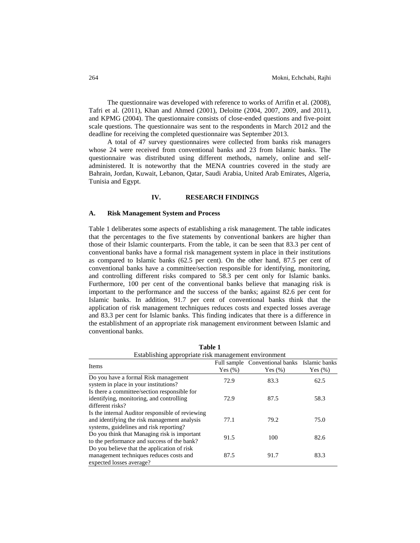The questionnaire was developed with reference to works of Arrifin et al. (2008), Tafri et al. (2011), Khan and Ahmed (2001), Deloitte (2004, 2007, 2009, and 2011), and KPMG (2004). The questionnaire consists of close-ended questions and five-point scale questions. The questionnaire was sent to the respondents in March 2012 and the deadline for receiving the completed questionnaire was September 2013.

A total of 47 survey questionnaires were collected from banks risk managers whose 24 were received from conventional banks and 23 from Islamic banks. The questionnaire was distributed using different methods, namely, online and selfadministered. It is noteworthy that the MENA countries covered in the study are Bahrain, Jordan, Kuwait, Lebanon, Qatar, Saudi Arabia, United Arab Emirates, Algeria, Tunisia and Egypt.

#### **IV. RESEARCH FINDINGS**

#### **A. Risk Management System and Process**

Table 1 deliberates some aspects of establishing a risk management. The table indicates that the percentages to the five statements by conventional bankers are higher than those of their Islamic counterparts. From the table, it can be seen that 83.3 per cent of conventional banks have a formal risk management system in place in their institutions as compared to Islamic banks (62.5 per cent). On the other hand, 87.5 per cent of conventional banks have a committee/section responsible for identifying, monitoring, and controlling different risks compared to 58.3 per cent only for Islamic banks. Furthermore, 100 per cent of the conventional banks believe that managing risk is important to the performance and the success of the banks; against 82.6 per cent for Islamic banks. In addition, 91.7 per cent of conventional banks think that the application of risk management techniques reduces costs and expected losses average and 83.3 per cent for Islamic banks. This finding indicates that there is a difference in the establishment of an appropriate risk management environment between Islamic and conventional banks.

| Establishing appropriate risk management environment                                                                                        |            |                                |               |  |  |  |  |  |
|---------------------------------------------------------------------------------------------------------------------------------------------|------------|--------------------------------|---------------|--|--|--|--|--|
| Items                                                                                                                                       |            | Full sample Conventional banks | Islamic banks |  |  |  |  |  |
|                                                                                                                                             | Yes $(\%)$ | Yes $(\% )$                    | Yes $(\%)$    |  |  |  |  |  |
| Do you have a formal Risk management<br>system in place in your institutions?                                                               | 72.9       | 83.3                           | 62.5          |  |  |  |  |  |
| Is there a committee/section responsible for<br>identifying, monitoring, and controlling<br>different risks?                                | 72.9       | 87.5                           | 58.3          |  |  |  |  |  |
| Is the internal Auditor responsible of reviewing<br>and identifying the risk management analysis<br>systems, guidelines and risk reporting? | 77.1       | 79.2                           | 75.0          |  |  |  |  |  |
| Do you think that Managing risk is important<br>to the performance and success of the bank?                                                 | 91.5       | 100                            | 82.6          |  |  |  |  |  |
| Do you believe that the application of risk<br>management techniques reduces costs and<br>expected losses average?                          | 87.5       | 91.7                           | 83.3          |  |  |  |  |  |

**Table 1**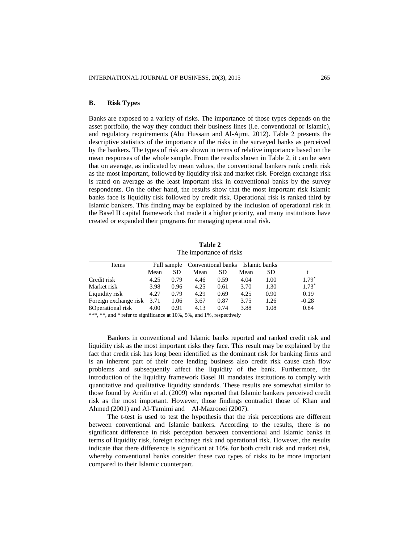# **B. Risk Types**

Banks are exposed to a variety of risks. The importance of those types depends on the asset portfolio, the way they conduct their business lines (i.e. conventional or Islamic), and regulatory requirements (Abu Hussain and Al-Ajmi, 2012). Table 2 presents the descriptive statistics of the importance of the risks in the surveyed banks as perceived by the bankers. The types of risk are shown in terms of relative importance based on the mean responses of the whole sample. From the results shown in Table 2, it can be seen that on average, as indicated by mean values, the conventional bankers rank credit risk as the most important, followed by liquidity risk and market risk. Foreign exchange risk is rated on average as the least important risk in conventional banks by the survey respondents. On the other hand, the results show that the most important risk Islamic banks face is liquidity risk followed by credit risk. Operational risk is ranked third by Islamic bankers. This finding may be explained by the inclusion of operational risk in the Basel II capital framework that made it a higher priority, and many institutions have created or expanded their programs for managing operational risk.

**Table 2** The importance of risks

| Mean                       | SD.  | Mean | SD.  | Mean | SD.  |                                              |
|----------------------------|------|------|------|------|------|----------------------------------------------|
| 4.25                       | 0.79 | 4.46 | 0.59 | 4.04 | 1.00 | $1.79*$                                      |
| 3.98                       | 0.96 | 4.25 | 0.61 | 3.70 | 1.30 | $1.73*$                                      |
| 4.27                       | 0.79 | 4.29 | 0.69 | 4.25 | 0.90 | 0.19                                         |
| Foreign exchange risk 3.71 | 1.06 | 3.67 | 0.87 | 3.75 | 1.26 | $-0.28$                                      |
| 4.00                       | 0.91 | 4.13 | 0.74 | 3.88 | 1.08 | 0.84                                         |
|                            |      |      |      |      |      | Full sample Conventional banks Islamic banks |

\*\*\*, \*\*, and \* refer to significance at 10%, 5%, and 1%, respectively

Bankers in conventional and Islamic banks reported and ranked credit risk and liquidity risk as the most important risks they face. This result may be explained by the fact that credit risk has long been identified as the dominant risk for banking firms and is an inherent part of their core lending business also credit risk cause cash flow problems and subsequently affect the liquidity of the bank. Furthermore, the introduction of the liquidity framework Basel III mandates institutions to comply with quantitative and qualitative liquidity standards. These results are somewhat similar to those found by Arrifin et al. (2009) who reported that Islamic bankers perceived credit risk as the most important. However, those findings contradict those of Khan and Ahmed (2001) and Al-Tamimi and Al-Mazrooei (2007).

The t-test is used to test the hypothesis that the risk perceptions are different between conventional and Islamic bankers. According to the results, there is no significant difference in risk perception between conventional and Islamic banks in terms of liquidity risk, foreign exchange risk and operational risk. However, the results indicate that there difference is significant at 10% for both credit risk and market risk, whereby conventional banks consider these two types of risks to be more important compared to their Islamic counterpart.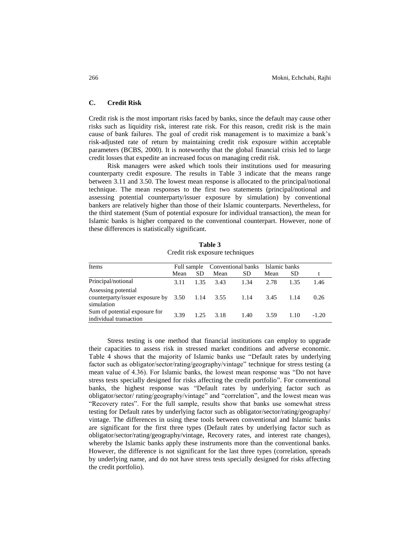#### **C. Credit Risk**

Credit risk is the most important risks faced by banks, since the default may cause other risks such as liquidity risk, interest rate risk. For this reason, credit risk is the main cause of bank failures. The goal of credit risk management is to maximize a bank's risk-adjusted rate of return by maintaining credit risk exposure within acceptable parameters (BCBS, 2000). It is noteworthy that the global financial crisis led to large credit losses that expedite an increased focus on managing credit risk.

Risk managers were asked which tools their institutions used for measuring counterparty credit exposure. The results in Table 3 indicate that the means range between 3.11 and 3.50. The lowest mean response is allocated to the principal/notional technique. The mean responses to the first two statements (principal/notional and assessing potential counterparty/issuer exposure by simulation) by conventional bankers are relatively higher than those of their Islamic counterparts. Nevertheless, for the third statement (Sum of potential exposure for individual transaction), the mean for Islamic banks is higher compared to the conventional counterpart. However, none of these differences is statistically significant.

| Items                                                                                 |      |           |      | Full sample Conventional banks Islamic banks |      |      |         |
|---------------------------------------------------------------------------------------|------|-----------|------|----------------------------------------------|------|------|---------|
|                                                                                       | Mean | <b>SD</b> | Mean | SD.                                          | Mean | SD   |         |
| Principal/notional                                                                    | 3.11 | 1.35      | 3.43 | 1.34                                         | 2.78 | 1.35 | 1.46    |
| Assessing potential<br>counterparty/issuer exposure by $3.50$ 1.14 3.55<br>simulation |      |           |      | 1.14                                         | 3.45 | 1.14 | 0.26    |
| Sum of potential exposure for<br>individual transaction                               | 3.39 | 1.25      | 3.18 | 1.40                                         | 3.59 | 1.10 | $-1.20$ |

**Table 3** Credit risk exposure techniques

Stress testing is one method that financial institutions can employ to upgrade their capacities to assess risk in stressed market conditions and adverse economic. Table 4 shows that the majority of Islamic banks use "Default rates by underlying factor such as obligator/sector/rating/geography/vintage" technique for stress testing (a mean value of 4.36). For Islamic banks, the lowest mean response was "Do not have stress tests specially designed for risks affecting the credit portfolio". For conventional banks, the highest response was "Default rates by underlying factor such as obligator/sector/ rating/geography/vintage" and "correlation", and the lowest mean was "Recovery rates". For the full sample, results show that banks use somewhat stress testing for Default rates by underlying factor such as obligator/sector/rating/geography/ vintage. The differences in using these tools between conventional and Islamic banks are significant for the first three types (Default rates by underlying factor such as obligator/sector/rating/geography/vintage, Recovery rates, and interest rate changes), whereby the Islamic banks apply these instruments more than the conventional banks. However, the difference is not significant for the last three types (correlation, spreads by underlying name, and do not have stress tests specially designed for risks affecting the credit portfolio).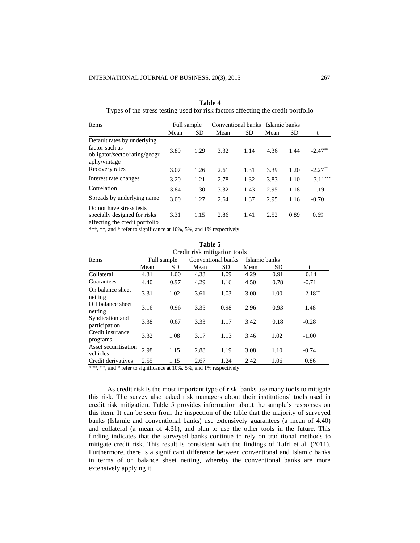| Items                                                                                          | Full sample |           |      |           | Conventional banks Islamic banks |           |            |
|------------------------------------------------------------------------------------------------|-------------|-----------|------|-----------|----------------------------------|-----------|------------|
|                                                                                                | Mean        | <b>SD</b> | Mean | <b>SD</b> | Mean                             | <b>SD</b> | t          |
| Default rates by underlying<br>factor such as<br>obligator/sector/rating/geogr<br>aphy/vintage | 3.89        | 1.29      | 3.32 | 1.14      | 4.36                             | 1.44      | $-2.47**$  |
| Recovery rates                                                                                 | 3.07        | 1.26      | 2.61 | 1.31      | 3.39                             | 1.20      | $-2.27***$ |
| Interest rate changes                                                                          | 3.20        | 1.21      | 2.78 | 1.32      | 3.83                             | 1.10      | $-3.11***$ |
| Correlation                                                                                    | 3.84        | 1.30      | 3.32 | 1.43      | 2.95                             | 1.18      | 1.19       |
| Spreads by underlying name                                                                     | 3.00        | 1.27      | 2.64 | 1.37      | 2.95                             | 1.16      | $-0.70$    |
| Do not have stress tests<br>specially designed for risks<br>affecting the credit portfolio     | 3.31        | 1.15      | 2.86 | 1.41      | 2.52                             | 0.89      | 0.69       |

**Table 4** Types of the stress testing used for risk factors affecting the credit portfolio

\*\*\*, \*\*, and \* refer to significance at 10%, 5%, and 1% respectively

|                                  |      |             | ravit J |                    |               |           |           |  |  |  |  |
|----------------------------------|------|-------------|---------|--------------------|---------------|-----------|-----------|--|--|--|--|
| Credit risk mitigation tools     |      |             |         |                    |               |           |           |  |  |  |  |
| Items                            |      | Full sample |         | Conventional banks | Islamic banks |           |           |  |  |  |  |
|                                  | Mean | SD.         | Mean    | SD.                | Mean          | <b>SD</b> | t         |  |  |  |  |
| Collateral                       | 4.31 | 1.00        | 4.33    | 1.09               | 4.29          | 0.91      | 0.14      |  |  |  |  |
| Guarantees                       | 4.40 | 0.97        | 4.29    | 1.16               | 4.50          | 0.78      | $-0.71$   |  |  |  |  |
| On balance sheet<br>netting      | 3.31 | 1.02        | 3.61    | 1.03               | 3.00          | 1.00      | $2.18***$ |  |  |  |  |
| Off balance sheet<br>netting     | 3.16 | 0.96        | 3.35    | 0.98               | 2.96          | 0.93      | 1.48      |  |  |  |  |
| Syndication and<br>participation | 3.38 | 0.67        | 3.33    | 1.17               | 3.42          | 0.18      | $-0.28$   |  |  |  |  |
| Credit insurance<br>programs     | 3.32 | 1.08        | 3.17    | 1.13               | 3.46          | 1.02      | $-1.00$   |  |  |  |  |
| Asset securitisation<br>vehicles | 2.98 | 1.15        | 2.88    | 1.19               | 3.08          | 1.10      | $-0.74$   |  |  |  |  |
| Credit derivatives               | 2.55 | 1.15        | 2.67    | 1.24               | 2.42          | 1.06      | 0.86      |  |  |  |  |

**Table 5**

\*\*\*, \*\*, and \* refer to significance at 10%, 5%, and 1% respectively

As credit risk is the most important type of risk, banks use many tools to mitigate this risk. The survey also asked risk managers about their institutions' tools used in credit risk mitigation. Table 5 provides information about the sample's responses on this item. It can be seen from the inspection of the table that the majority of surveyed banks (Islamic and conventional banks) use extensively guarantees (a mean of 4.40) and collateral (a mean of 4.31), and plan to use the other tools in the future. This finding indicates that the surveyed banks continue to rely on traditional methods to mitigate credit risk. This result is consistent with the findings of Tafri et al. (2011). Furthermore, there is a significant difference between conventional and Islamic banks in terms of on balance sheet netting, whereby the conventional banks are more extensively applying it.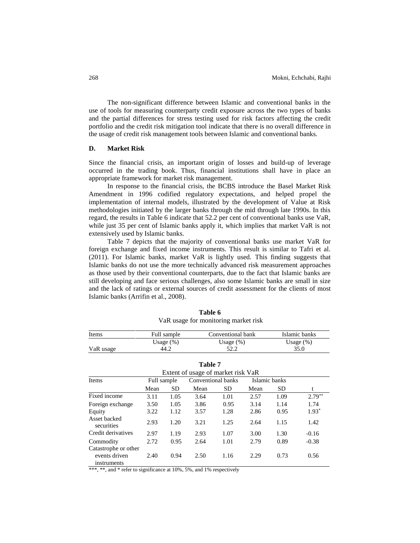The non-significant difference between Islamic and conventional banks in the use of tools for measuring counterparty credit exposure across the two types of banks and the partial differences for stress testing used for risk factors affecting the credit portfolio and the credit risk mitigation tool indicate that there is no overall difference in the usage of credit risk management tools between Islamic and conventional banks.

#### **D. Market Risk**

Since the financial crisis, an important origin of losses and build-up of leverage occurred in the trading book. Thus, financial institutions shall have in place an appropriate framework for market risk management.

In response to the financial crisis, the BCBS introduce the Basel Market Risk Amendment in 1996 codified regulatory expectations, and helped propel the implementation of internal models, illustrated by the development of Value at Risk methodologies initiated by the larger banks through the mid through late 1990s. In this regard, the results in Table 6 indicate that 52.2 per cent of conventional banks use VaR, while just 35 per cent of Islamic banks apply it, which implies that market VaR is not extensively used by Islamic banks.

Table 7 depicts that the majority of conventional banks use market VaR for foreign exchange and fixed income instruments. This result is similar to Tafri et al. (2011). For Islamic banks, market VaR is lightly used. This finding suggests that Islamic banks do not use the more technically advanced risk measurement approaches as those used by their conventional counterparts, due to the fact that Islamic banks are still developing and face serious challenges, also some Islamic banks are small in size and the lack of ratings or external sources of credit assessment for the clients of most Islamic banks (Arrifin et al., 2008).

| Items     | Full sample  | Conventional bank | Islamic banks |
|-----------|--------------|-------------------|---------------|
|           | Usage $(\%)$ | Usage $(\%)$      | Usage $(\%)$  |
| VaR usage | 44.2         | 52.2              | 35.0          |

**Table 6** VaR usage for monitoring market risk

| VaR usage | Usage $(\%)$<br>44.2 | Usage $(\%)$<br>52.2               |               | Usage $(\%)$<br>35.0 |
|-----------|----------------------|------------------------------------|---------------|----------------------|
|           |                      | Table 7                            |               |                      |
|           |                      | Extent of usage of market risk VaR |               |                      |
| Items     | Full sample          | Conventional banks                 | Islamic banks |                      |
|           | $\sim$               | $\sim$                             | $\sim$        |                      |

| Extent of usage of market risk VaR                   |             |      |                    |      |               |      |          |  |  |
|------------------------------------------------------|-------------|------|--------------------|------|---------------|------|----------|--|--|
| Items                                                | Full sample |      | Conventional banks |      | Islamic banks |      |          |  |  |
|                                                      | Mean        | SD.  | Mean               | SD.  | Mean          | SD.  | t        |  |  |
| Fixed income                                         | 3.11        | 1.05 | 3.64               | 1.01 | 2.57          | 1.09 | $2.79**$ |  |  |
| Foreign exchange                                     | 3.50        | 1.05 | 3.86               | 0.95 | 3.14          | 1.14 | 1.74     |  |  |
| Equity                                               | 3.22        | 1.12 | 3.57               | 1.28 | 2.86          | 0.95 | $1.93*$  |  |  |
| Asset backed<br>securities                           | 2.93        | 1.20 | 3.21               | 1.25 | 2.64          | 1.15 | 1.42     |  |  |
| Credit derivatives                                   | 2.97        | 1.19 | 2.93               | 1.07 | 3.00          | 1.30 | $-0.16$  |  |  |
| Commodity                                            | 2.72        | 0.95 | 2.64               | 1.01 | 2.79          | 0.89 | $-0.38$  |  |  |
| Catastrophe or other<br>events driven<br>instruments | 2.40        | 0.94 | 2.50               | 1.16 | 2.29          | 0.73 | 0.56     |  |  |

\*\*\*, \*\*, and \* refer to significance at 10%, 5%, and 1% respectively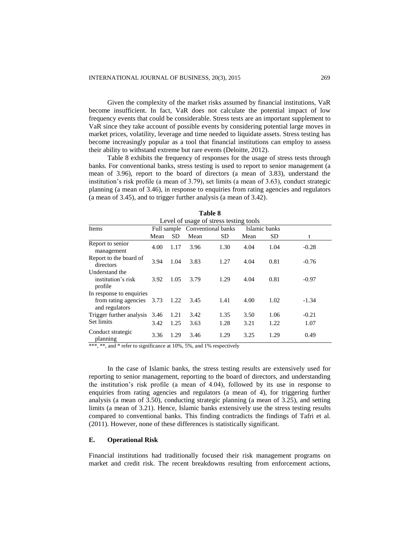Given the complexity of the market risks assumed by financial institutions, VaR become insufficient. In fact, VaR does not calculate the potential impact of low frequency events that could be considerable. Stress tests are an important supplement to VaR since they take account of possible events by considering potential large moves in market prices, volatility, leverage and time needed to liquidate assets. Stress testing has become increasingly popular as a tool that financial institutions can employ to assess their ability to withstand extreme but rare events (Deloitte, 2012).

Table 8 exhibits the frequency of responses for the usage of stress tests through banks. For conventional banks, stress testing is used to report to senior management (a mean of 3.96), report to the board of directors (a mean of 3.83), understand the institution's risk profile (a mean of 3.79), set limits (a mean of 3.63), conduct strategic planning (a mean of 3.46), in response to enquiries from rating agencies and regulators (a mean of 3.45), and to trigger further analysis (a mean of 3.42).

| Level of usage of stress testing tools                                  |      |      |      |                                |      |               |         |  |  |
|-------------------------------------------------------------------------|------|------|------|--------------------------------|------|---------------|---------|--|--|
| Items                                                                   |      |      |      | Full sample Conventional banks |      | Islamic banks |         |  |  |
|                                                                         | Mean | SD   | Mean | SD                             | Mean | SD.           | t       |  |  |
| Report to senior<br>management                                          | 4.00 | 1.17 | 3.96 | 1.30                           | 4.04 | 1.04          | $-0.28$ |  |  |
| Report to the board of<br>directors                                     | 3.94 | 1.04 | 3.83 | 1.27                           | 4.04 | 0.81          | $-0.76$ |  |  |
| Understand the<br>institution's risk<br>profile                         | 3.92 | 1.05 | 3.79 | 1.29                           | 4.04 | 0.81          | $-0.97$ |  |  |
| In response to enquiries<br>from rating agencies 3.73<br>and regulators |      | 1.22 | 3.45 | 1.41                           | 4.00 | 1.02          | $-1.34$ |  |  |
| Trigger further analysis 3.46                                           |      | 1.21 | 3.42 | 1.35                           | 3.50 | 1.06          | $-0.21$ |  |  |
| Set limits                                                              | 3.42 | 1.25 | 3.63 | 1.28                           | 3.21 | 1.22          | 1.07    |  |  |
| Conduct strategic<br>planning                                           | 3.36 | 1.29 | 3.46 | 1.29                           | 3.25 | 1.29          | 0.49    |  |  |

\*\*\*, \*\*, and \* refer to significance at 10%, 5%, and 1% respectively

In the case of Islamic banks, the stress testing results are extensively used for reporting to senior management, reporting to the board of directors, and understanding the institution's risk profile (a mean of 4.04), followed by its use in response to enquiries from rating agencies and regulators (a mean of 4), for triggering further analysis (a mean of 3.50), conducting strategic planning (a mean of 3.25), and setting limits (a mean of 3.21). Hence, Islamic banks extensively use the stress testing results compared to conventional banks. This finding contradicts the findings of Tafri et al. (2011). However, none of these differences is statistically significant.

#### **E. Operational Risk**

Financial institutions had traditionally focused their risk management programs on market and credit risk. The recent breakdowns resulting from enforcement actions,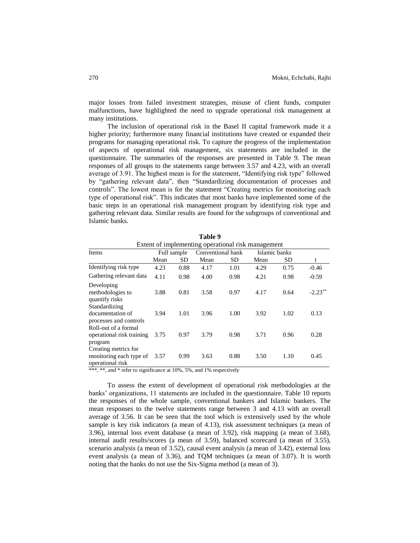major losses from failed investment strategies, misuse of client funds, computer malfunctions, have highlighted the need to upgrade operational risk management at many institutions.

The inclusion of operational risk in the Basel II capital framework made it a higher priority; furthermore many financial institutions have created or expanded their programs for managing operational risk. To capture the progress of the implementation of aspects of operational risk management, six statements are included in the questionnaire. The summaries of the responses are presented in Table 9. The mean responses of all groups to the statements range between 3.57 and 4.23, with an overall average of 3.91. The highest mean is for the statement, "Identifying risk type" followed by "gathering relevant data", then "Standardizing documentation of processes and controls". The lowest mean is for the statement "Creating metrics for monitoring each type of operational risk". This indicates that most banks have implemented some of the basic steps in an operational risk management program by identifying risk type and gathering relevant data. Similar results are found for the subgroups of conventional and Islamic banks.

**Table 9**

|                                                                     |                                                    |             | ******            |      |               |      |            |  |  |  |  |  |
|---------------------------------------------------------------------|----------------------------------------------------|-------------|-------------------|------|---------------|------|------------|--|--|--|--|--|
|                                                                     | Extent of implementing operational risk management |             |                   |      |               |      |            |  |  |  |  |  |
| Items                                                               |                                                    | Full sample | Conventional bank |      | Islamic banks |      |            |  |  |  |  |  |
|                                                                     | Mean                                               | SD          | Mean              | SD   | Mean          | SD   | t          |  |  |  |  |  |
| Identifying risk type                                               | 4.23                                               | 0.88        | 4.17              | 1.01 | 4.29          | 0.75 | $-0.46$    |  |  |  |  |  |
| Gathering relevant data                                             | 4.11                                               | 0.98        | 4.00              | 0.98 | 4.21          | 0.98 | $-0.59$    |  |  |  |  |  |
| Developing<br>methodologies to<br>quantify risks                    | 3.88                                               | 0.81        | 3.58              | 0.97 | 4.17          | 0.64 | $-2.23***$ |  |  |  |  |  |
| Standardizing<br>documentation of<br>processes and controls         | 3.94                                               | 1.01        | 3.96              | 1.00 | 3.92          | 1.02 | 0.13       |  |  |  |  |  |
| Roll-out of a formal<br>operational risk training<br>program        | 3.75                                               | 0.97        | 3.79              | 0.98 | 3.71          | 0.96 | 0.28       |  |  |  |  |  |
| Creating metrics for<br>monitoring each type of<br>operational risk | 3.57                                               | 0.99        | 3.63              | 0.88 | 3.50          | 1.10 | 0.45       |  |  |  |  |  |

\*\*\*, \*\*, and \* refer to significance at 10%, 5%, and 1% respectively

To assess the extent of development of operational risk methodologies at the banks' organizations, 11 statements are included in the questionnaire. Table 10 reports the responses of the whole sample, conventional bankers and Islamic bankers. The mean responses to the twelve statements range between 3 and 4.13 with an overall average of 3.56. It can be seen that the tool which is extensively used by the whole sample is key risk indicators (a mean of 4.13), risk assessment techniques (a mean of 3.96), internal loss event database (a mean of 3.92), risk mapping (a mean of 3.68), internal audit results/scores (a mean of 3.59), balanced scorecard (a mean of 3.55), scenario analysis (a mean of 3.52), causal event analysis (a mean of 3.42), external loss event analysis (a mean of 3.36), and TQM techniques (a mean of 3.07). It is worth noting that the banks do not use the Six-Sigma method (a mean of 3).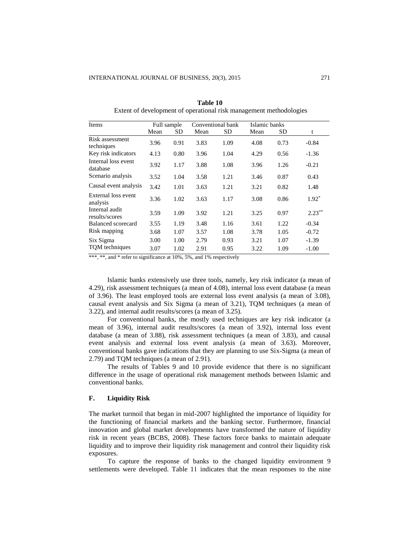|                                  |      |      | Conventional bank<br>Full sample |      |                       |           |           |
|----------------------------------|------|------|----------------------------------|------|-----------------------|-----------|-----------|
| Items                            | Mean | SD   | Mean                             | SD   | Islamic banks<br>Mean | <b>SD</b> | t         |
| Risk assessment<br>techniques    | 3.96 | 0.91 | 3.83                             | 1.09 | 4.08                  | 0.73      | $-0.84$   |
| Key risk indicators              | 4.13 | 0.80 | 3.96                             | 1.04 | 4.29                  | 0.56      | $-1.36$   |
| Internal loss event<br>database  | 3.92 | 1.17 | 3.88                             | 1.08 | 3.96                  | 1.26      | $-0.21$   |
| Scenario analysis                | 3.52 | 1.04 | 3.58                             | 1.21 | 3.46                  | 0.87      | 0.43      |
| Causal event analysis            | 3.42 | 1.01 | 3.63                             | 1.21 | 3.21                  | 0.82      | 1.48      |
| External loss event<br>analysis  | 3.36 | 1.02 | 3.63                             | 1.17 | 3.08                  | 0.86      | $1.92*$   |
| Internal audit<br>results/scores | 3.59 | 1.09 | 3.92                             | 1.21 | 3.25                  | 0.97      | $2.23***$ |
| Balanced scorecard               | 3.55 | 1.19 | 3.48                             | 1.16 | 3.61                  | 1.22      | $-0.34$   |
| Risk mapping                     | 3.68 | 1.07 | 3.57                             | 1.08 | 3.78                  | 1.05      | $-0.72$   |
| Six Sigma                        | 3.00 | 1.00 | 2.79                             | 0.93 | 3.21                  | 1.07      | $-1.39$   |
| TQM techniques                   | 3.07 | 1.02 | 2.91                             | 0.95 | 3.22                  | 1.09      | $-1.00$   |

**Table 10** Extent of development of operational risk management methodologies

\*\*\*, \*\*, and \* refer to significance at 10%, 5%, and 1% respectively

Islamic banks extensively use three tools, namely, key risk indicator (a mean of 4.29), risk assessment techniques (a mean of 4.08), internal loss event database (a mean of 3.96). The least employed tools are external loss event analysis (a mean of 3.08), causal event analysis and Six Sigma (a mean of 3.21), TQM techniques (a mean of 3.22), and internal audit results/scores (a mean of 3.25).

For conventional banks, the mostly used techniques are key risk indicator (a mean of 3.96), internal audit results/scores (a mean of 3.92), internal loss event database (a mean of 3.88), risk assessment techniques (a mean of 3.83), and causal event analysis and external loss event analysis (a mean of 3.63). Moreover, conventional banks gave indications that they are planning to use Six-Sigma (a mean of 2.79) and TQM techniques (a mean of 2.91).

The results of Tables 9 and 10 provide evidence that there is no significant difference in the usage of operational risk management methods between Islamic and conventional banks.

#### **F. Liquidity Risk**

The market turmoil that began in mid-2007 highlighted the importance of liquidity for the functioning of financial markets and the banking sector. Furthermore, financial innovation and global market developments have transformed the nature of liquidity risk in recent years (BCBS, 2008). These factors force banks to maintain adequate liquidity and to improve their liquidity risk management and control their liquidity risk exposures.

To capture the response of banks to the changed liquidity environment 9 settlements were developed. Table 11 indicates that the mean responses to the nine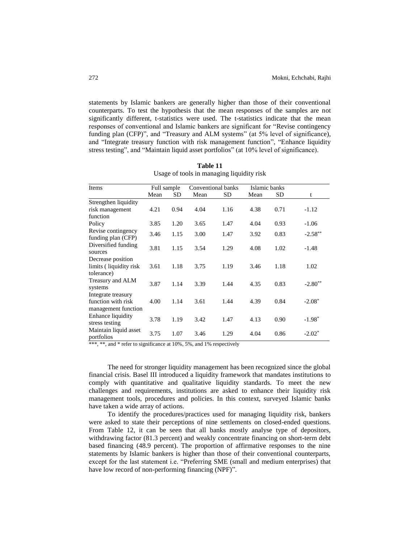statements by Islamic bankers are generally higher than those of their conventional counterparts. To test the hypothesis that the mean responses of the samples are not significantly different, t-statistics were used. The t-statistics indicate that the mean responses of conventional and Islamic bankers are significant for "Revise contingency funding plan (CFP)", and "Treasury and ALM systems" (at 5% level of significance), and "Integrate treasury function with risk management function", "Enhance liquidity stress testing", and "Maintain liquid asset portfolios" (at 10% level of significance).

| Items                                                           | Full sample |      | Conventional banks |           | Islamic banks |           |            |
|-----------------------------------------------------------------|-------------|------|--------------------|-----------|---------------|-----------|------------|
|                                                                 | Mean        | SD   | Mean               | <b>SD</b> | Mean          | <b>SD</b> | t          |
| Strengthen liquidity                                            |             |      |                    |           |               |           |            |
| risk management                                                 | 4.21        | 0.94 | 4.04               | 1.16      | 4.38          | 0.71      | $-1.12$    |
| function                                                        |             |      |                    |           |               |           |            |
| Policy                                                          | 3.85        | 1.20 | 3.65               | 1.47      | 4.04          | 0.93      | $-1.06$    |
| Revise contingency<br>funding plan (CFP)                        | 3.46        | 1.15 | 3.00               | 1.47      | 3.92          | 0.83      | $-2.58***$ |
| Diversified funding<br>sources                                  | 3.81        | 1.15 | 3.54               | 1.29      | 4.08          | 1.02      | $-1.48$    |
| Decrease position<br>limits (liquidity risk)<br>tolerance)      | 3.61        | 1.18 | 3.75               | 1.19      | 3.46          | 1.18      | 1.02       |
| Treasury and ALM<br>systems                                     | 3.87        | 1.14 | 3.39               | 1.44      | 4.35          | 0.83      | $-2.80**$  |
| Integrate treasury<br>function with risk<br>management function | 4.00        | 1.14 | 3.61               | 1.44      | 4.39          | 0.84      | $-2.08*$   |
| Enhance liquidity<br>stress testing                             | 3.78        | 1.19 | 3.42               | 1.47      | 4.13          | 0.90      | $-1.98*$   |
| Maintain liquid asset<br>portfolios                             | 3.75        | 1.07 | 3.46               | 1.29      | 4.04          | 0.86      | $-2.02*$   |

**Table 11** Usage of tools in managing liquidity risk

\*\*\*, \*\*, and \* refer to significance at 10%, 5%, and 1% respectively

The need for stronger liquidity management has been recognized since the global financial crisis. Basel III introduced a liquidity framework that mandates institutions to comply with quantitative and qualitative liquidity standards. To meet the new challenges and requirements, institutions are asked to enhance their liquidity risk management tools, procedures and policies. In this context, surveyed Islamic banks have taken a wide array of actions.

To identify the procedures/practices used for managing liquidity risk, bankers were asked to state their perceptions of nine settlements on closed-ended questions. From Table 12, it can be seen that all banks mostly analyse type of depositors, withdrawing factor (81.3 percent) and weakly concentrate financing on short-term debt based financing (48.9 percent). The proportion of affirmative responses to the nine statements by Islamic bankers is higher than those of their conventional counterparts, except for the last statement i.e. "Preferring SME (small and medium enterprises) that have low record of non-performing financing (NPF)".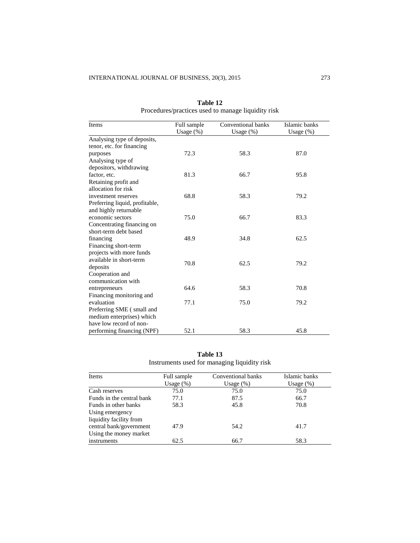| Items                          | Full sample  | Conventional banks | Islamic banks |  |
|--------------------------------|--------------|--------------------|---------------|--|
|                                | Usage $(\%)$ | Usage $(\%)$       | Usage $(\%)$  |  |
| Analysing type of deposits,    |              |                    |               |  |
| tenor, etc. for financing      |              |                    |               |  |
| purposes                       | 72.3         | 58.3               | 87.0          |  |
| Analysing type of              |              |                    |               |  |
| depositors, withdrawing        |              |                    |               |  |
| factor, etc.                   | 81.3         | 66.7               | 95.8          |  |
| Retaining profit and           |              |                    |               |  |
| allocation for risk            |              |                    |               |  |
| investment reserves            | 68.8         | 58.3               | 79.2          |  |
| Preferring liquid, profitable, |              |                    |               |  |
| and highly returnable          |              |                    |               |  |
| economic sectors               | 75.0         | 66.7               | 83.3          |  |
| Concentrating financing on     |              |                    |               |  |
| short-term debt based          |              |                    |               |  |
| financing                      | 48.9         | 34.8               | 62.5          |  |
| Financing short-term           |              |                    |               |  |
| projects with more funds       |              |                    |               |  |
| available in short-term        | 70.8         | 62.5               | 79.2          |  |
| deposits                       |              |                    |               |  |
| Cooperation and                |              |                    |               |  |
| communication with             |              |                    |               |  |
| entrepreneurs                  | 64.6         | 58.3               | 70.8          |  |
| Financing monitoring and       |              |                    |               |  |
| evaluation                     | 77.1         | 75.0               | 79.2          |  |
| Preferring SME (small and      |              |                    |               |  |
| medium enterprises) which      |              |                    |               |  |
| have low record of non-        |              |                    |               |  |
| performing financing (NPF)     | 52.1         | 58.3               | 45.8          |  |

**Table 12** Procedures/practices used to manage liquidity risk

**Table 13** Instruments used for managing liquidity risk

| Items                                      | Full sample  | Conventional banks | Islamic banks |  |
|--------------------------------------------|--------------|--------------------|---------------|--|
|                                            | Usage $(\%)$ | Usage $(\%)$       | Usage $(\%)$  |  |
| Cash reserves                              | 75.0         | 75.0               | 75.0          |  |
| Funds in the central bank                  | 77.1         | 87.5               | 66.7          |  |
| Funds in other banks                       | 58.3         | 45.8               | 70.8          |  |
| Using emergency<br>liquidity facility from |              |                    |               |  |
| central bank/government                    | 47.9         | 54.2               | 41.7          |  |
| Using the money market                     |              |                    |               |  |
| instruments                                | 62.5         | 66.7               | 58.3          |  |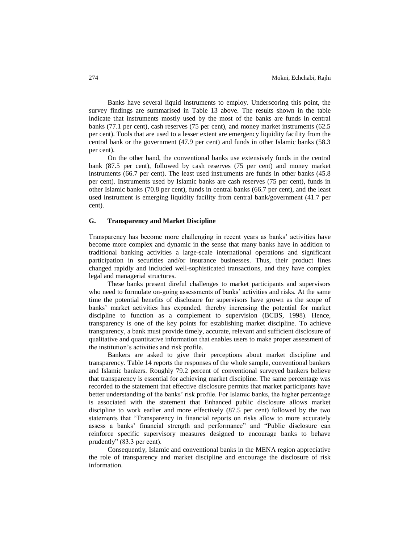Banks have several liquid instruments to employ. Underscoring this point, the survey findings are summarised in Table 13 above. The results shown in the table indicate that instruments mostly used by the most of the banks are funds in central banks (77.1 per cent), cash reserves (75 per cent), and money market instruments (62.5 per cent). Tools that are used to a lesser extent are emergency liquidity facility from the central bank or the government (47.9 per cent) and funds in other Islamic banks (58.3 per cent).

On the other hand, the conventional banks use extensively funds in the central bank (87.5 per cent), followed by cash reserves (75 per cent) and money market instruments (66.7 per cent). The least used instruments are funds in other banks (45.8 per cent). Instruments used by Islamic banks are cash reserves (75 per cent), funds in other Islamic banks (70.8 per cent), funds in central banks (66.7 per cent), and the least used instrument is emerging liquidity facility from central bank/government (41.7 per cent).

#### **G. Transparency and Market Discipline**

Transparency has become more challenging in recent years as banks' activities have become more complex and dynamic in the sense that many banks have in addition to traditional banking activities a large-scale international operations and significant participation in securities and/or insurance businesses. Thus, their product lines changed rapidly and included well-sophisticated transactions, and they have complex legal and managerial structures.

These banks present direful challenges to market participants and supervisors who need to formulate on-going assessments of banks' activities and risks. At the same time the potential benefits of disclosure for supervisors have grown as the scope of banks' market activities has expanded, thereby increasing the potential for market discipline to function as a complement to supervision (BCBS, 1998). Hence, transparency is one of the key points for establishing market discipline. To achieve transparency, a bank must provide timely, accurate, relevant and sufficient disclosure of qualitative and quantitative information that enables users to make proper assessment of the institution's activities and risk profile.

Bankers are asked to give their perceptions about market discipline and transparency. Table 14 reports the responses of the whole sample, conventional bankers and Islamic bankers. Roughly 79.2 percent of conventional surveyed bankers believe that transparency is essential for achieving market discipline. The same percentage was recorded to the statement that effective disclosure permits that market participants have better understanding of the banks' risk profile. For Islamic banks, the higher percentage is associated with the statement that Enhanced public disclosure allows market discipline to work earlier and more effectively (87.5 per cent) followed by the two statements that "Transparency in financial reports on risks allow to more accurately assess a banks' financial strength and performance" and "Public disclosure can reinforce specific supervisory measures designed to encourage banks to behave prudently" (83.3 per cent).

Consequently, Islamic and conventional banks in the MENA region appreciative the role of transparency and market discipline and encourage the disclosure of risk information.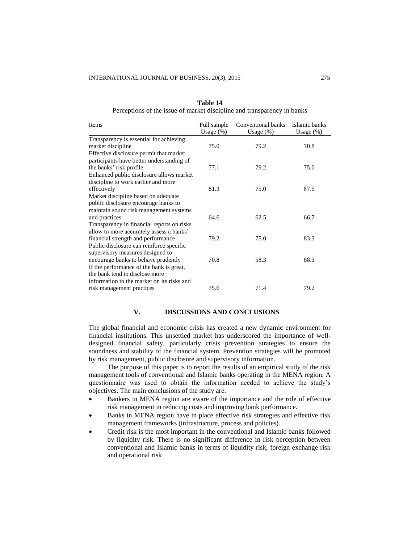| Items                                      | Full sample  | Conventional banks | Islamic banks |
|--------------------------------------------|--------------|--------------------|---------------|
|                                            | Usage $(\%)$ | Usage (%)          | Usage $(\%)$  |
| Transparency is essential for achieving    |              |                    |               |
| market discipline                          | 75.0         | 79.2               | 70.8          |
| Effective disclosure permit that market    |              |                    |               |
| participants have better understanding of  |              |                    |               |
| the banks' risk profile                    | 77.1         | 79.2               | 75.0          |
| Enhanced public disclosure allows market   |              |                    |               |
| discipline to work earlier and more        |              |                    |               |
| effectively                                | 81.3         | 75.0               | 87.5          |
| Market discipline based on adequate        |              |                    |               |
| public disclosure encourage banks to       |              |                    |               |
| maintain sound risk management systems     |              |                    |               |
| and practices                              | 64.6         | 62.5               | 66.7          |
| Transparency in financial reports on risks |              |                    |               |
| allow to more accurately assess a banks'   |              |                    |               |
| financial strength and performance         | 79.2         | 75.0               | 83.3          |
| Public disclosure can reinforce specific   |              |                    |               |
| supervisory measures designed to           |              |                    |               |
| encourage banks to behave prudently        | 70.8         | 58.3               | 88.3          |
| If the performance of the bank is great,   |              |                    |               |
| the bank tend to disclose more             |              |                    |               |
| information to the market on its risks and |              |                    |               |
| risk management practices                  | 75.6         | 71.4               | 79.2          |

**Table 14** Perceptions of the issue of market discipline and transparency in banks

# **V. DISCUSSIONS AND CONCLUSIONS**

The global financial and economic crisis has created a new dynamic environment for financial institutions. This unsettled market has underscored the importance of welldesigned financial safety, particularly crisis prevention strategies to ensure the soundness and stability of the financial system. Prevention strategies will be promoted by risk management, public disclosure and supervisory information.

The purpose of this paper is to report the results of an empirical study of the risk management tools of conventional and Islamic banks operating in the MENA region. A questionnaire was used to obtain the information needed to achieve the study's objectives. The main conclusions of the study are:

- Bankers in MENA region are aware of the importance and the role of effective risk management in reducing costs and improving bank performance.
- Banks in MENA region have in place effective risk strategies and effective risk management frameworks (infrastructure, process and policies).
- Credit risk is the most important in the conventional and Islamic banks followed by liquidity risk. There is no significant difference in risk perception between conventional and Islamic banks in terms of liquidity risk, foreign exchange risk and operational risk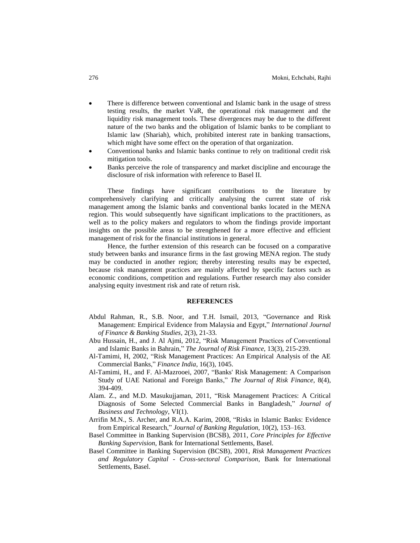- There is difference between conventional and Islamic bank in the usage of stress testing results, the market VaR, the operational risk management and the liquidity risk management tools. These divergences may be due to the different nature of the two banks and the obligation of Islamic banks to be compliant to Islamic law (Shariah), which, prohibited interest rate in banking transactions, which might have some effect on the operation of that organization.
- Conventional banks and Islamic banks continue to rely on traditional credit risk mitigation tools.
- Banks perceive the role of transparency and market discipline and encourage the disclosure of risk information with reference to Basel II.

These findings have significant contributions to the literature by comprehensively clarifying and critically analysing the current state of risk management among the Islamic banks and conventional banks located in the MENA region. This would subsequently have significant implications to the practitioners, as well as to the policy makers and regulators to whom the findings provide important insights on the possible areas to be strengthened for a more effective and efficient management of risk for the financial institutions in general.

Hence, the further extension of this research can be focused on a comparative study between banks and insurance firms in the fast growing MENA region. The study may be conducted in another region; thereby interesting results may be expected, because risk management practices are mainly affected by specific factors such as economic conditions, competition and regulations. Further research may also consider analysing equity investment risk and rate of return risk.

### **REFERENCES**

- Abdul Rahman, R., S.B. Noor, and T.H. Ismail, 2013, "Governance and Risk Management: Empirical Evidence from Malaysia and Egypt," *International Journal of Finance & Banking Studies,* 2(3), 21-33.
- Abu Hussain, H., and J. Al Ajmi, 2012, "Risk Management Practices of Conventional and Islamic Banks in Bahrain," *The Journal of Risk Finance*, 13(3), 215-239.
- Al-Tamimi, H, 2002, "Risk Management Practices: An Empirical Analysis of the AE Commercial Banks," *Finance India*, 16(3), 1045.
- Al-Tamimi, H., and F. Al-Mazrooei, 2007, "Banks' Risk Management: A Comparison Study of UAE National and Foreign Banks," *The Journal of Risk Finance*, 8(4), 394-409.
- Alam. Z., and M.D. Masukujjaman, 2011, "Risk Management Practices: A Critical Diagnosis of Some Selected Commercial Banks in Bangladesh," *Journal of Business and Technology*, VI(1).
- Arrifin M.N., S. Archer, and R.A.A. Karim, 2008, "Risks in Islamic Banks: Evidence from Empirical Research," *Journal of Banking Regulation,* 10(2), 153–163.
- Basel Committee in Banking Supervision (BCSB), 2011, *Core Principles for Effective Banking Supervision*, Bank for International Settlements, Basel.
- Basel Committee in Banking Supervision (BCSB), 2001, *Risk Management Practices and Regulatory Capital - Cross-sectoral Comparison*, Bank for International Settlements, Basel.